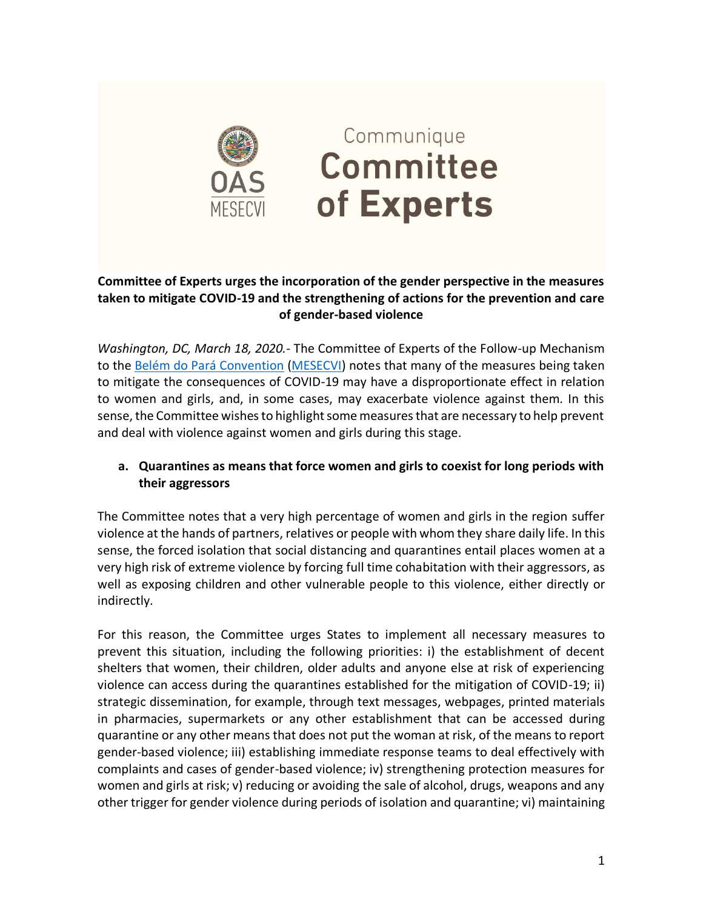

# Communique **Committee** of Experts

#### **Committee of Experts urges the incorporation of the gender perspective in the measures taken to mitigate COVID-19 and the strengthening of actions for the prevention and care of gender-based violence**

*Washington, DC, March 18, 2020.*- The Committee of Experts of the Follow-up Mechanism to the [Belém do Pará Convention](http://www.oas.org/en/mesecvi/convention.asp) [\(MESECVI\)](http://www.oas.org/en/mesecvi/about.asp) notes that many of the measures being taken to mitigate the consequences of COVID-19 may have a disproportionate effect in relation to women and girls, and, in some cases, may exacerbate violence against them. In this sense, the Committee wishes to highlight some measures that are necessary to help prevent and deal with violence against women and girls during this stage.

#### **a. Quarantines as means that force women and girls to coexist for long periods with their aggressors**

The Committee notes that a very high percentage of women and girls in the region suffer violence at the hands of partners, relatives or people with whom they share daily life. In this sense, the forced isolation that social distancing and quarantines entail places women at a very high risk of extreme violence by forcing full time cohabitation with their aggressors, as well as exposing children and other vulnerable people to this violence, either directly or indirectly.

For this reason, the Committee urges States to implement all necessary measures to prevent this situation, including the following priorities: i) the establishment of decent shelters that women, their children, older adults and anyone else at risk of experiencing violence can access during the quarantines established for the mitigation of COVID-19; ii) strategic dissemination, for example, through text messages, webpages, printed materials in pharmacies, supermarkets or any other establishment that can be accessed during quarantine or any other means that does not put the woman at risk, of the means to report gender-based violence; iii) establishing immediate response teams to deal effectively with complaints and cases of gender-based violence; iv) strengthening protection measures for women and girls at risk; v) reducing or avoiding the sale of alcohol, drugs, weapons and any other trigger for gender violence during periods of isolation and quarantine; vi) maintaining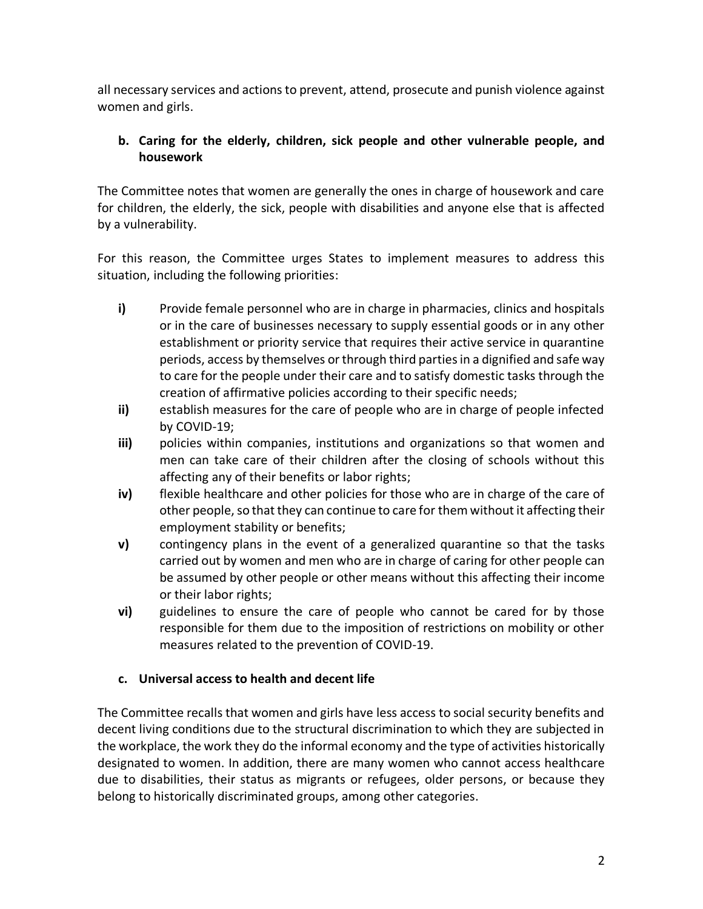all necessary services and actions to prevent, attend, prosecute and punish violence against women and girls.

## **b. Caring for the elderly, children, sick people and other vulnerable people, and housework**

The Committee notes that women are generally the ones in charge of housework and care for children, the elderly, the sick, people with disabilities and anyone else that is affected by a vulnerability.

For this reason, the Committee urges States to implement measures to address this situation, including the following priorities:

- **i)** Provide female personnel who are in charge in pharmacies, clinics and hospitals or in the care of businesses necessary to supply essential goods or in any other establishment or priority service that requires their active service in quarantine periods, access by themselves or through third parties in a dignified and safe way to care for the people under their care and to satisfy domestic tasks through the creation of affirmative policies according to their specific needs;
- **ii)** establish measures for the care of people who are in charge of people infected by COVID-19;
- **iii)** policies within companies, institutions and organizations so that women and men can take care of their children after the closing of schools without this affecting any of their benefits or labor rights;
- **iv)** flexible healthcare and other policies for those who are in charge of the care of other people, so that they can continue to care for them without it affecting their employment stability or benefits;
- **v)** contingency plans in the event of a generalized quarantine so that the tasks carried out by women and men who are in charge of caring for other people can be assumed by other people or other means without this affecting their income or their labor rights;
- **vi)** guidelines to ensure the care of people who cannot be cared for by those responsible for them due to the imposition of restrictions on mobility or other measures related to the prevention of COVID-19.

### **c. Universal access to health and decent life**

The Committee recalls that women and girls have less access to social security benefits and decent living conditions due to the structural discrimination to which they are subjected in the workplace, the work they do the informal economy and the type of activities historically designated to women. In addition, there are many women who cannot access healthcare due to disabilities, their status as migrants or refugees, older persons, or because they belong to historically discriminated groups, among other categories.